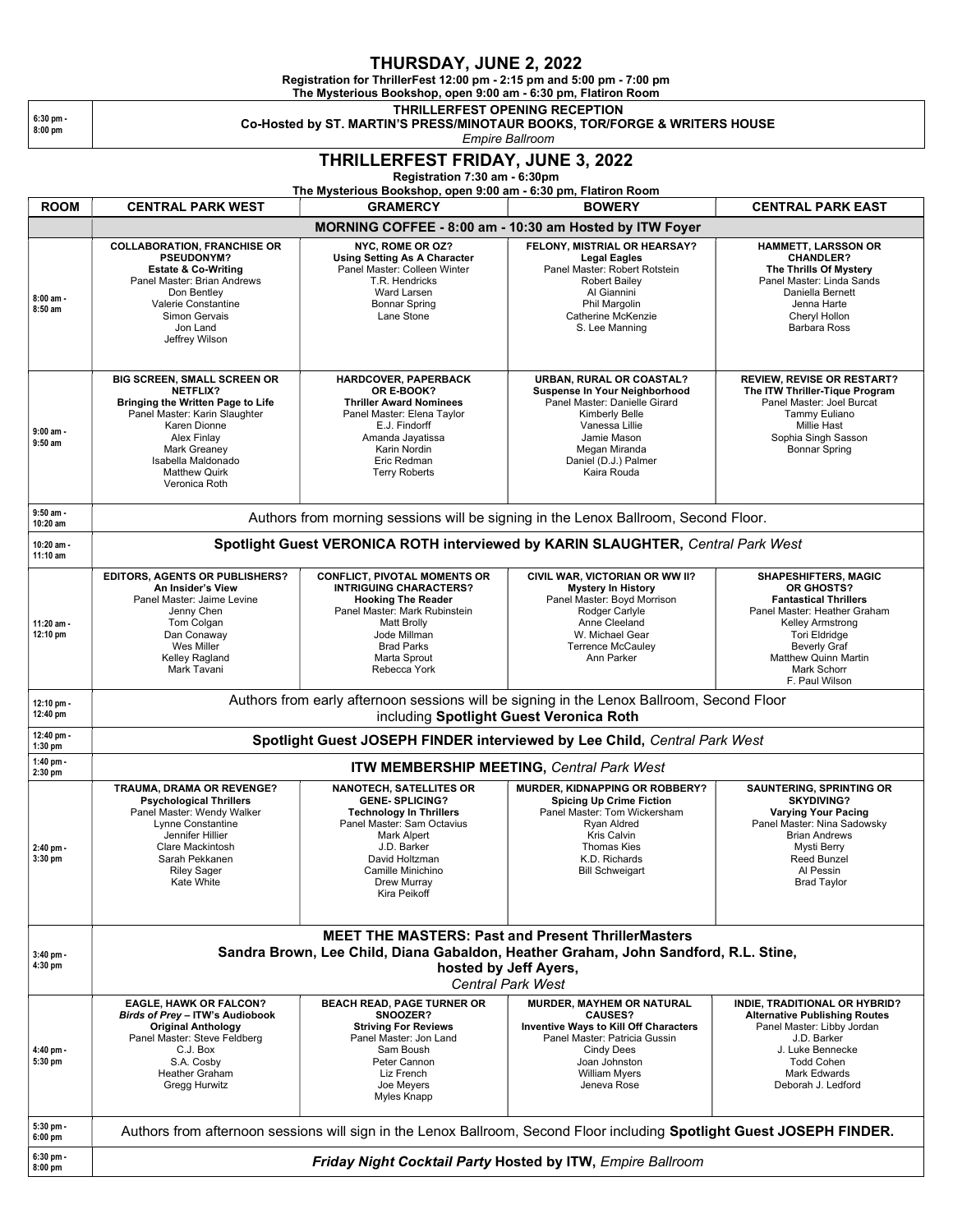## THURSDAY, JUNE 2, 2022

Registration for ThrillerFest 12:00 pm - 2:15 pm and 5:00 pm - 7:00 pm

The Mysterious Bookshop, open 9:00 am - 6:30 pm, Flatiron Room

THRILLERFEST OPENING RECEPTION

Co-Hosted by ST. MARTIN'S PRESS/MINOTAUR BOOKS, TOR/FORGE & WRITERS HOUSE

Empire Ballroom

## THRILLERFEST FRIDAY, JUNE 3, 2022

Registration 7:30 am - 6:30pm

The Mysterious Bookshop, open 9:00 am - 6:30 pm, Flatiron Room ROOM CENTRAL PARK WEST GRAMERCY ROOM SUMERY GENTRAL PARK EAST

HAMMETT, LARSSON OR CHANDLER?

|                          | MORNING COFFEE - 8:00 am - 10:30 am Hosted by ITW Foyer                                                                                                                                                                            |                                                                                                                                                                                                                               |                                                                                                                                                                                                                  |                                                                                                                                                                                                                                              |  |  |
|--------------------------|------------------------------------------------------------------------------------------------------------------------------------------------------------------------------------------------------------------------------------|-------------------------------------------------------------------------------------------------------------------------------------------------------------------------------------------------------------------------------|------------------------------------------------------------------------------------------------------------------------------------------------------------------------------------------------------------------|----------------------------------------------------------------------------------------------------------------------------------------------------------------------------------------------------------------------------------------------|--|--|
| 8:00 am -<br>$8:50$ am   | <b>COLLABORATION, FRANCHISE OR</b><br><b>PSEUDONYM?</b><br><b>Estate &amp; Co-Writing</b><br>Panel Master: Brian Andrews<br>Don Bentley<br>Valerie Constantine<br><b>Simon Gervais</b><br>Jon Land<br>Jeffrey Wilson               | NYC, ROME OR OZ?<br><b>Using Setting As A Character</b><br>Panel Master: Colleen Winter<br>T.R. Hendricks<br>Ward Larsen<br><b>Bonnar Spring</b><br>Lane Stone                                                                | FELONY, MISTRIAL OR HEARSAY?<br><b>Legal Eagles</b><br>Panel Master: Robert Rotstein<br><b>Robert Bailey</b><br>Al Giannini<br>Phil Margolin<br>Catherine McKenzie<br>S. Lee Manning                             | <b>HAMMETT, LARSSON OR</b><br><b>CHANDLER?</b><br>The Thrills Of Mystery<br>Panel Master: Linda Sands<br>Daniella Bernett<br>Jenna Harte<br>Cheryl Hollon<br><b>Barbara Ross</b>                                                             |  |  |
| $9:00$ am -<br>$9:50$ am | BIG SCREEN, SMALL SCREEN OR<br><b>NETFLIX?</b><br>Bringing the Written Page to Life<br>Panel Master: Karin Slaughter<br>Karen Dionne<br>Alex Finlav<br>Mark Greaney<br>Isabella Maldonado<br><b>Matthew Quirk</b><br>Veronica Roth | <b>HARDCOVER, PAPERBACK</b><br>OR E-BOOK?<br><b>Thriller Award Nominees</b><br>Panel Master: Elena Taylor<br>E.J. Findorff<br>Amanda Jayatissa<br>Karin Nordin<br>Eric Redman<br><b>Terry Roberts</b>                         | <b>URBAN. RURAL OR COASTAL?</b><br>Suspense In Your Neighborhood<br>Panel Master: Danielle Girard<br>Kimberly Belle<br>Vanessa Lillie<br>Jamie Mason<br>Megan Miranda<br>Daniel (D.J.) Palmer<br>Kaira Rouda     | <b>REVIEW. REVISE OR RESTART?</b><br>The ITW Thriller-Tique Program<br>Panel Master: Joel Burcat<br>Tammy Euliano<br><b>Millie Hast</b><br>Sophia Singh Sasson<br><b>Bonnar Spring</b>                                                       |  |  |
| $9:50$ am -<br>10:20 am  | Authors from morning sessions will be signing in the Lenox Ballroom, Second Floor.                                                                                                                                                 |                                                                                                                                                                                                                               |                                                                                                                                                                                                                  |                                                                                                                                                                                                                                              |  |  |
| 10:20 am -<br>11:10 am   | Spotlight Guest VERONICA ROTH interviewed by KARIN SLAUGHTER, Central Park West                                                                                                                                                    |                                                                                                                                                                                                                               |                                                                                                                                                                                                                  |                                                                                                                                                                                                                                              |  |  |
| 11:20 am -<br>12:10 pm   | <b>EDITORS, AGENTS OR PUBLISHERS?</b><br>An Insider's View<br>Panel Master: Jaime Levine<br>Jenny Chen<br>Tom Colgan<br>Dan Conaway<br>Wes Miller<br>Kelley Ragland<br>Mark Tavani                                                 | <b>CONFLICT. PIVOTAL MOMENTS OR</b><br><b>INTRIGUING CHARACTERS?</b><br><b>Hooking The Reader</b><br>Panel Master: Mark Rubinstein<br><b>Matt Brolly</b><br>Jode Millman<br><b>Brad Parks</b><br>Marta Sprout<br>Rebecca York | CIVIL WAR, VICTORIAN OR WW II?<br><b>Mystery In History</b><br>Panel Master: Bovd Morrison<br>Rodger Carlyle<br>Anne Cleeland<br>W. Michael Gear<br><b>Terrence McCauley</b><br>Ann Parker                       | <b>SHAPESHIFTERS, MAGIC</b><br>OR GHOSTS?<br><b>Fantastical Thrillers</b><br>Panel Master: Heather Graham<br>Kelley Armstrong<br><b>Tori Eldridge</b><br><b>Beverly Graf</b><br><b>Matthew Quinn Martin</b><br>Mark Schorr<br>F. Paul Wilson |  |  |
| 12:10 pm -<br>12:40 pm   | Authors from early afternoon sessions will be signing in the Lenox Ballroom, Second Floor<br>including Spotlight Guest Veronica Roth                                                                                               |                                                                                                                                                                                                                               |                                                                                                                                                                                                                  |                                                                                                                                                                                                                                              |  |  |
| 12:40 pm -<br>$1:30$ pm  | Spotlight Guest JOSEPH FINDER interviewed by Lee Child, Central Park West                                                                                                                                                          |                                                                                                                                                                                                                               |                                                                                                                                                                                                                  |                                                                                                                                                                                                                                              |  |  |
| 1:40 pm -<br>2:30 pm     | ITW MEMBERSHIP MEETING, Central Park West                                                                                                                                                                                          |                                                                                                                                                                                                                               |                                                                                                                                                                                                                  |                                                                                                                                                                                                                                              |  |  |
| 2:40 pm -<br>3:30 pm     | TRAUMA, DRAMA OR REVENGE?<br><b>Psychological Thrillers</b><br>Panel Master: Wendy Walker<br>Lynne Constantine<br>Jennifer Hillier<br>Clare Mackintosh<br>Sarah Pekkanen<br><b>Riley Sager</b><br>Kate White                       | <b>NANOTECH, SATELLITES OR</b><br><b>GENE-SPLICING?</b><br><b>Technology In Thrillers</b><br>Panel Master: Sam Octavius<br>Mark Alpert<br>J.D. Barker<br>David Holtzman<br>Camille Minichino<br>Drew Murray<br>Kira Peikoff   | <b>MURDER, KIDNAPPING OR ROBBERY?</b><br><b>Spicing Up Crime Fiction</b><br>Panel Master: Tom Wickersham<br>Ryan Aldred<br>Kris Calvin<br><b>Thomas Kies</b><br>K.D. Richards<br><b>Bill Schweigart</b>          | <b>SAUNTERING, SPRINTING OR</b><br><b>SKYDIVING?</b><br><b>Varying Your Pacing</b><br>Panel Master: Nina Sadowsky<br><b>Brian Andrews</b><br>Mysti Berry<br>Reed Bunzel<br>Al Pessin<br><b>Brad Taylor</b>                                   |  |  |
|                          | <b>MEET THE MASTERS: Past and Present ThrillerMasters</b>                                                                                                                                                                          |                                                                                                                                                                                                                               |                                                                                                                                                                                                                  |                                                                                                                                                                                                                                              |  |  |
| $3:40$ pm -<br>4:30 pm   | Sandra Brown, Lee Child, Diana Gabaldon, Heather Graham, John Sandford, R.L. Stine,<br>hosted by Jeff Ayers,<br><b>Central Park West</b>                                                                                           |                                                                                                                                                                                                                               |                                                                                                                                                                                                                  |                                                                                                                                                                                                                                              |  |  |
| 4:40 pm -<br>5:30 pm     | <b>EAGLE, HAWK OR FALCON?</b><br>Birds of Prey - ITW's Audiobook<br><b>Original Anthology</b><br>Panel Master: Steve Feldberg<br>C.J. Box<br>S.A. Cosby<br><b>Heather Graham</b><br>Gregg Hurwitz                                  | <b>BEACH READ, PAGE TURNER OR</b><br>SNOOZER?<br><b>Striving For Reviews</b><br>Panel Master: Jon Land<br>Sam Boush<br>Peter Cannon<br>Liz French<br>Joe Meyers<br>Myles Knapp                                                | <b>MURDER, MAYHEM OR NATURAL</b><br><b>CAUSES?</b><br><b>Inventive Ways to Kill Off Characters</b><br>Panel Master: Patricia Gussin<br><b>Cindy Dees</b><br>Joan Johnston<br><b>William Myers</b><br>Jeneva Rose | INDIE, TRADITIONAL OR HYBRID?<br><b>Alternative Publishing Routes</b><br>Panel Master: Libby Jordan<br>J.D. Barker<br>J. Luke Bennecke<br><b>Todd Cohen</b><br><b>Mark Edwards</b><br>Deborah J. Ledford                                     |  |  |
| $5:30$ pm -<br>$6:00$ pm | Authors from afternoon sessions will sign in the Lenox Ballroom, Second Floor including Spotlight Guest JOSEPH FINDER.                                                                                                             |                                                                                                                                                                                                                               |                                                                                                                                                                                                                  |                                                                                                                                                                                                                                              |  |  |
| 6:30 pm -<br>$8:00$ pm   | Friday Night Cocktail Party Hosted by ITW, Empire Ballroom                                                                                                                                                                         |                                                                                                                                                                                                                               |                                                                                                                                                                                                                  |                                                                                                                                                                                                                                              |  |  |

6:30 pm - 8:00 pm